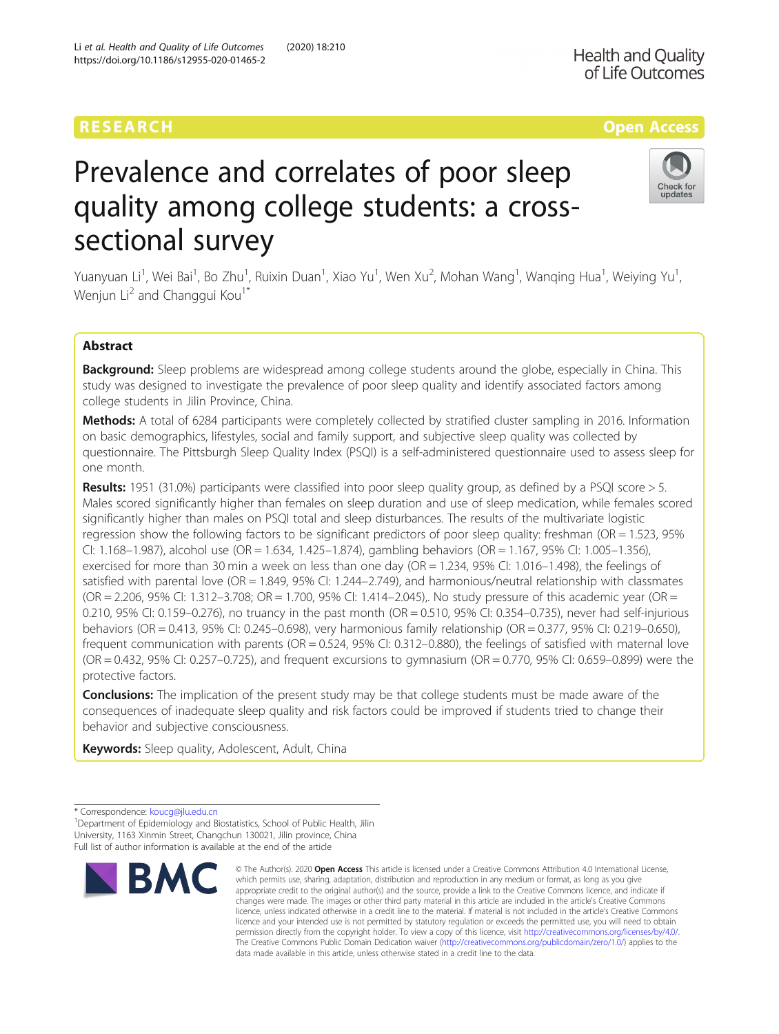# RESEARCH **RESEARCH CONSUMING THE CONSUMING THE CONSUMING TENS**

# **Health and Quality** of Life Outcomes

# Check for updates

# Prevalence and correlates of poor sleep quality among college students: a crosssectional survey

Yuanyuan Li<sup>1</sup>, Wei Bai<sup>1</sup>, Bo Zhu<sup>1</sup>, Ruixin Duan<sup>1</sup>, Xiao Yu<sup>1</sup>, Wen Xu<sup>2</sup>, Mohan Wang<sup>1</sup>, Wanqing Hua<sup>1</sup>, Weiying Yu<sup>1</sup> , Wenjun Li<sup>2</sup> and Changgui Kou<sup>1\*</sup>

# Abstract

Background: Sleep problems are widespread among college students around the globe, especially in China. This study was designed to investigate the prevalence of poor sleep quality and identify associated factors among college students in Jilin Province, China.

Methods: A total of 6284 participants were completely collected by stratified cluster sampling in 2016. Information on basic demographics, lifestyles, social and family support, and subjective sleep quality was collected by questionnaire. The Pittsburgh Sleep Quality Index (PSQI) is a self-administered questionnaire used to assess sleep for one month.

Results: 1951 (31.0%) participants were classified into poor sleep quality group, as defined by a PSQI score > 5. Males scored significantly higher than females on sleep duration and use of sleep medication, while females scored significantly higher than males on PSQI total and sleep disturbances. The results of the multivariate logistic regression show the following factors to be significant predictors of poor sleep quality: freshman (OR = 1.523, 95% CI: 1.168–1.987), alcohol use (OR = 1.634, 1.425–1.874), gambling behaviors (OR = 1.167, 95% CI: 1.005–1.356), exercised for more than 30 min a week on less than one day (OR = 1.234, 95% CI: 1.016–1.498), the feelings of satisfied with parental love (OR = 1.849, 95% CI: 1.244–2.749), and harmonious/neutral relationship with classmates (OR = 2.206, 95% CI: 1.312–3.708; OR = 1.700, 95% CI: 1.414–2.045),. No study pressure of this academic year (OR = 0.210, 95% CI: 0.159–0.276), no truancy in the past month (OR = 0.510, 95% CI: 0.354–0.735), never had self-injurious behaviors (OR = 0.413, 95% CI: 0.245–0.698), very harmonious family relationship (OR = 0.377, 95% CI: 0.219–0.650), frequent communication with parents (OR = 0.524, 95% CI: 0.312–0.880), the feelings of satisfied with maternal love (OR = 0.432, 95% CI: 0.257–0.725), and frequent excursions to gymnasium (OR = 0.770, 95% CI: 0.659–0.899) were the protective factors.

**Conclusions:** The implication of the present study may be that college students must be made aware of the consequences of inadequate sleep quality and risk factors could be improved if students tried to change their behavior and subjective consciousness.

Keywords: Sleep quality, Adolescent, Adult, China

<sup>&</sup>lt;sup>1</sup> Department of Epidemiology and Biostatistics, School of Public Health, Jilin University, 1163 Xinmin Street, Changchun 130021, Jilin province, China Full list of author information is available at the end of the article



<sup>©</sup> The Author(s), 2020 **Open Access** This article is licensed under a Creative Commons Attribution 4.0 International License, which permits use, sharing, adaptation, distribution and reproduction in any medium or format, as long as you give appropriate credit to the original author(s) and the source, provide a link to the Creative Commons licence, and indicate if changes were made. The images or other third party material in this article are included in the article's Creative Commons licence, unless indicated otherwise in a credit line to the material. If material is not included in the article's Creative Commons licence and your intended use is not permitted by statutory regulation or exceeds the permitted use, you will need to obtain permission directly from the copyright holder. To view a copy of this licence, visit [http://creativecommons.org/licenses/by/4.0/.](http://creativecommons.org/licenses/by/4.0/) The Creative Commons Public Domain Dedication waiver [\(http://creativecommons.org/publicdomain/zero/1.0/](http://creativecommons.org/publicdomain/zero/1.0/)) applies to the data made available in this article, unless otherwise stated in a credit line to the data.

<sup>\*</sup> Correspondence: [koucg@jlu.edu.cn](mailto:koucg@jlu.edu.cn) <sup>1</sup>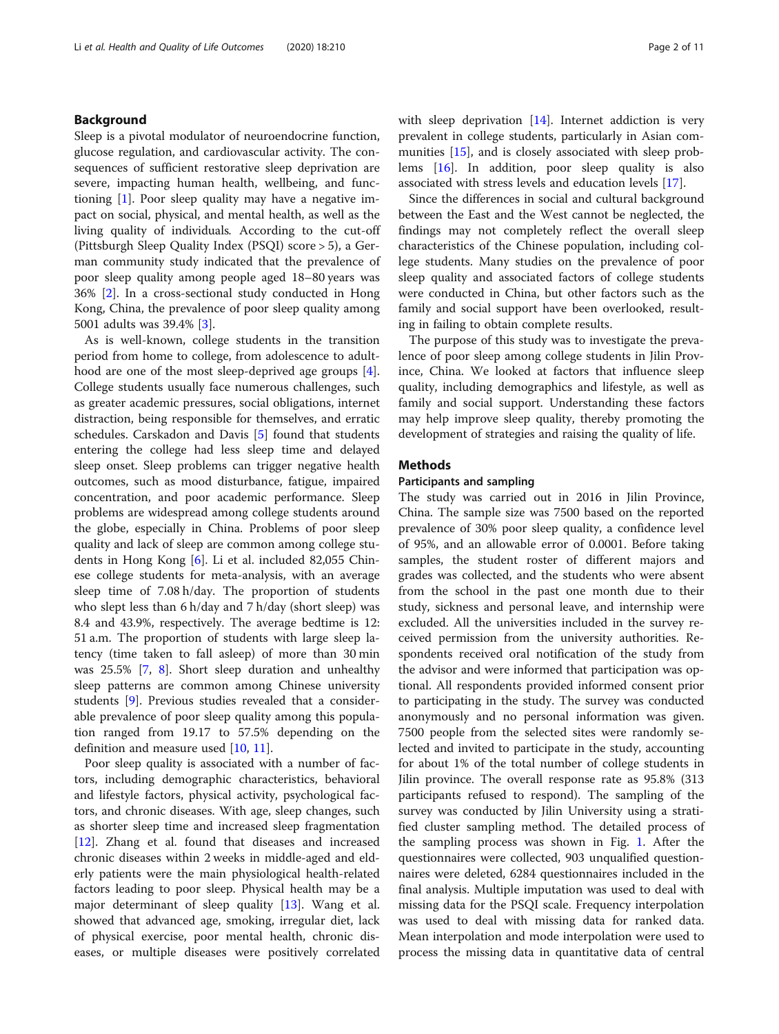# Background

Sleep is a pivotal modulator of neuroendocrine function, glucose regulation, and cardiovascular activity. The consequences of sufficient restorative sleep deprivation are severe, impacting human health, wellbeing, and functioning [[1\]](#page-10-0). Poor sleep quality may have a negative impact on social, physical, and mental health, as well as the living quality of individuals. According to the cut-off (Pittsburgh Sleep Quality Index (PSQI) score > 5), a German community study indicated that the prevalence of poor sleep quality among people aged 18–80 years was 36% [[2\]](#page-10-0). In a cross-sectional study conducted in Hong Kong, China, the prevalence of poor sleep quality among 5001 adults was 39.4% [\[3](#page-10-0)].

As is well-known, college students in the transition period from home to college, from adolescence to adulthood are one of the most sleep-deprived age groups [\[4](#page-10-0)]. College students usually face numerous challenges, such as greater academic pressures, social obligations, internet distraction, being responsible for themselves, and erratic schedules. Carskadon and Davis [\[5\]](#page-10-0) found that students entering the college had less sleep time and delayed sleep onset. Sleep problems can trigger negative health outcomes, such as mood disturbance, fatigue, impaired concentration, and poor academic performance. Sleep problems are widespread among college students around the globe, especially in China. Problems of poor sleep quality and lack of sleep are common among college students in Hong Kong [[6\]](#page-10-0). Li et al. included 82,055 Chinese college students for meta-analysis, with an average sleep time of 7.08 h/day. The proportion of students who slept less than 6 h/day and 7 h/day (short sleep) was 8.4 and 43.9%, respectively. The average bedtime is 12: 51 a.m. The proportion of students with large sleep latency (time taken to fall asleep) of more than 30 min was 25.5% [\[7,](#page-10-0) [8](#page-10-0)]. Short sleep duration and unhealthy sleep patterns are common among Chinese university students [[9](#page-10-0)]. Previous studies revealed that a considerable prevalence of poor sleep quality among this population ranged from 19.17 to 57.5% depending on the definition and measure used [[10,](#page-10-0) [11\]](#page-10-0).

Poor sleep quality is associated with a number of factors, including demographic characteristics, behavioral and lifestyle factors, physical activity, psychological factors, and chronic diseases. With age, sleep changes, such as shorter sleep time and increased sleep fragmentation [[12\]](#page-10-0). Zhang et al. found that diseases and increased chronic diseases within 2 weeks in middle-aged and elderly patients were the main physiological health-related factors leading to poor sleep. Physical health may be a major determinant of sleep quality [[13](#page-10-0)]. Wang et al. showed that advanced age, smoking, irregular diet, lack of physical exercise, poor mental health, chronic diseases, or multiple diseases were positively correlated with sleep deprivation [\[14\]](#page-10-0). Internet addiction is very prevalent in college students, particularly in Asian communities [[15\]](#page-10-0), and is closely associated with sleep problems [[16](#page-10-0)]. In addition, poor sleep quality is also associated with stress levels and education levels [[17](#page-10-0)].

Since the differences in social and cultural background between the East and the West cannot be neglected, the findings may not completely reflect the overall sleep characteristics of the Chinese population, including college students. Many studies on the prevalence of poor sleep quality and associated factors of college students were conducted in China, but other factors such as the family and social support have been overlooked, resulting in failing to obtain complete results.

The purpose of this study was to investigate the prevalence of poor sleep among college students in Jilin Province, China. We looked at factors that influence sleep quality, including demographics and lifestyle, as well as family and social support. Understanding these factors may help improve sleep quality, thereby promoting the development of strategies and raising the quality of life.

# Methods

# Participants and sampling

The study was carried out in 2016 in Jilin Province, China. The sample size was 7500 based on the reported prevalence of 30% poor sleep quality, a confidence level of 95%, and an allowable error of 0.0001. Before taking samples, the student roster of different majors and grades was collected, and the students who were absent from the school in the past one month due to their study, sickness and personal leave, and internship were excluded. All the universities included in the survey received permission from the university authorities. Respondents received oral notification of the study from the advisor and were informed that participation was optional. All respondents provided informed consent prior to participating in the study. The survey was conducted anonymously and no personal information was given. 7500 people from the selected sites were randomly selected and invited to participate in the study, accounting for about 1% of the total number of college students in Jilin province. The overall response rate as 95.8% (313 participants refused to respond). The sampling of the survey was conducted by Jilin University using a stratified cluster sampling method. The detailed process of the sampling process was shown in Fig. [1.](#page-2-0) After the questionnaires were collected, 903 unqualified questionnaires were deleted, 6284 questionnaires included in the final analysis. Multiple imputation was used to deal with missing data for the PSQI scale. Frequency interpolation was used to deal with missing data for ranked data. Mean interpolation and mode interpolation were used to process the missing data in quantitative data of central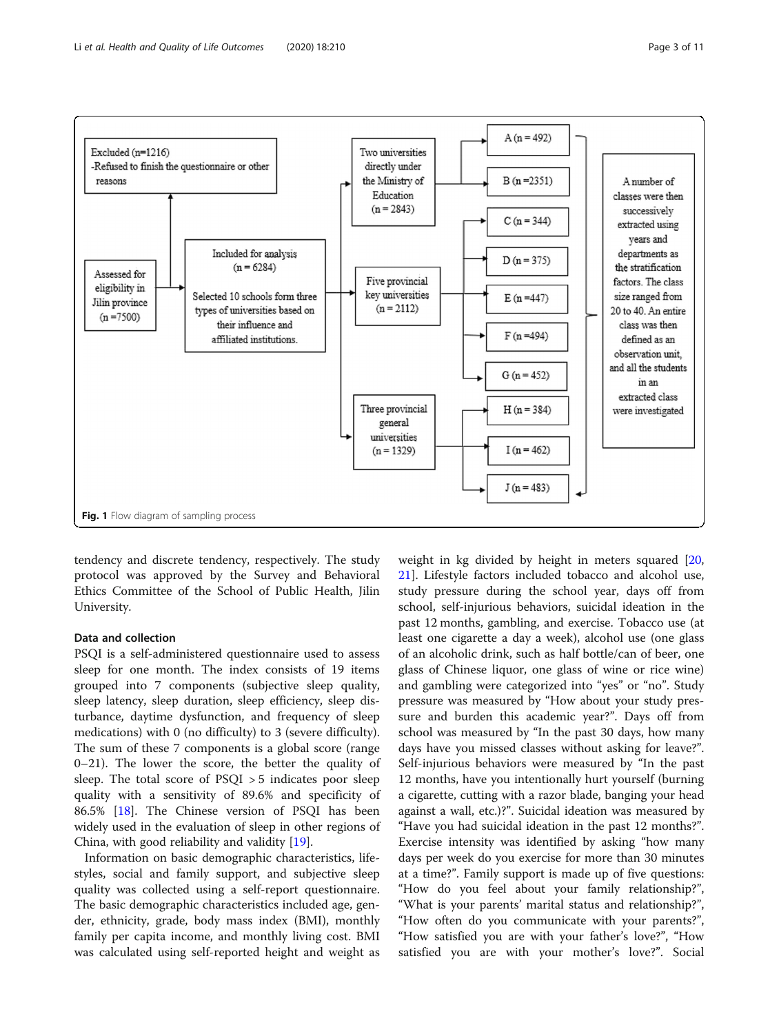<span id="page-2-0"></span>

tendency and discrete tendency, respectively. The study protocol was approved by the Survey and Behavioral Ethics Committee of the School of Public Health, Jilin University.

# Data and collection

PSQI is a self-administered questionnaire used to assess sleep for one month. The index consists of 19 items grouped into 7 components (subjective sleep quality, sleep latency, sleep duration, sleep efficiency, sleep disturbance, daytime dysfunction, and frequency of sleep medications) with 0 (no difficulty) to 3 (severe difficulty). The sum of these 7 components is a global score (range 0–21). The lower the score, the better the quality of sleep. The total score of PSQI > 5 indicates poor sleep quality with a sensitivity of 89.6% and specificity of 86.5% [\[18\]](#page-10-0). The Chinese version of PSQI has been widely used in the evaluation of sleep in other regions of China, with good reliability and validity [\[19](#page-10-0)].

Information on basic demographic characteristics, lifestyles, social and family support, and subjective sleep quality was collected using a self-report questionnaire. The basic demographic characteristics included age, gender, ethnicity, grade, body mass index (BMI), monthly family per capita income, and monthly living cost. BMI was calculated using self-reported height and weight as

weight in kg divided by height in meters squared [[20](#page-10-0), [21\]](#page-10-0). Lifestyle factors included tobacco and alcohol use, study pressure during the school year, days off from school, self-injurious behaviors, suicidal ideation in the past 12 months, gambling, and exercise. Tobacco use (at least one cigarette a day a week), alcohol use (one glass of an alcoholic drink, such as half bottle/can of beer, one glass of Chinese liquor, one glass of wine or rice wine) and gambling were categorized into "yes" or "no". Study pressure was measured by "How about your study pressure and burden this academic year?". Days off from school was measured by "In the past 30 days, how many days have you missed classes without asking for leave?". Self-injurious behaviors were measured by "In the past 12 months, have you intentionally hurt yourself (burning a cigarette, cutting with a razor blade, banging your head against a wall, etc.)?". Suicidal ideation was measured by "Have you had suicidal ideation in the past 12 months?". Exercise intensity was identified by asking "how many days per week do you exercise for more than 30 minutes at a time?". Family support is made up of five questions: "How do you feel about your family relationship?", "What is your parents' marital status and relationship?", "How often do you communicate with your parents?", "How satisfied you are with your father's love?", "How satisfied you are with your mother's love?". Social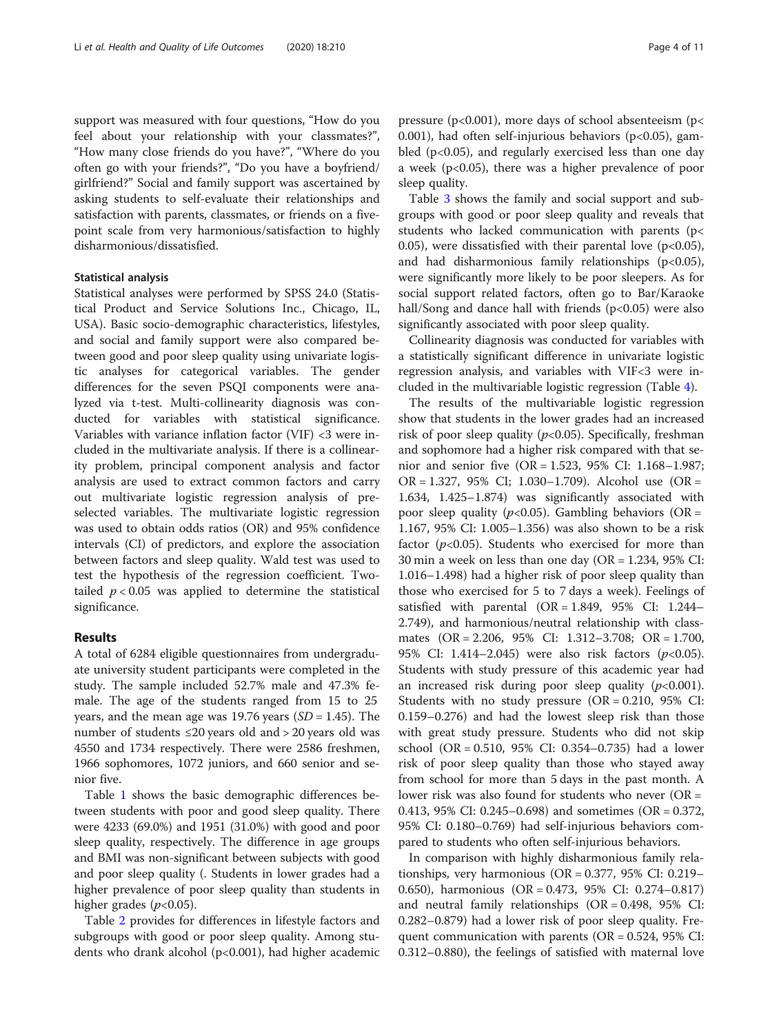support was measured with four questions, "How do you feel about your relationship with your classmates?", "How many close friends do you have?", "Where do you often go with your friends?", "Do you have a boyfriend/ girlfriend?" Social and family support was ascertained by asking students to self-evaluate their relationships and satisfaction with parents, classmates, or friends on a fivepoint scale from very harmonious/satisfaction to highly disharmonious/dissatisfied.

# Statistical analysis

Statistical analyses were performed by SPSS 24.0 (Statistical Product and Service Solutions Inc., Chicago, IL, USA). Basic socio-demographic characteristics, lifestyles, and social and family support were also compared between good and poor sleep quality using univariate logistic analyses for categorical variables. The gender differences for the seven PSQI components were analyzed via t-test. Multi-collinearity diagnosis was conducted for variables with statistical significance. Variables with variance inflation factor (VIF) <3 were included in the multivariate analysis. If there is a collinearity problem, principal component analysis and factor analysis are used to extract common factors and carry out multivariate logistic regression analysis of preselected variables. The multivariate logistic regression was used to obtain odds ratios (OR) and 95% confidence intervals (CI) of predictors, and explore the association between factors and sleep quality. Wald test was used to test the hypothesis of the regression coefficient. Twotailed  $p < 0.05$  was applied to determine the statistical significance.

# Results

A total of 6284 eligible questionnaires from undergraduate university student participants were completed in the study. The sample included 52.7% male and 47.3% female. The age of the students ranged from 15 to 25 years, and the mean age was 19.76 years  $(SD = 1.45)$ . The number of students ≤20 years old and > 20 years old was 4550 and 1734 respectively. There were 2586 freshmen, 1966 sophomores, 1072 juniors, and 660 senior and senior five.

Table [1](#page-4-0) shows the basic demographic differences between students with poor and good sleep quality. There were 4233 (69.0%) and 1951 (31.0%) with good and poor sleep quality, respectively. The difference in age groups and BMI was non-significant between subjects with good and poor sleep quality (. Students in lower grades had a higher prevalence of poor sleep quality than students in higher grades  $(p<0.05)$ .

Table [2](#page-5-0) provides for differences in lifestyle factors and subgroups with good or poor sleep quality. Among students who drank alcohol (p<0.001), had higher academic pressure ( $p<0.001$ ), more days of school absenteeism ( $p<$ 0.001), had often self-injurious behaviors ( $p<0.05$ ), gambled (p<0.05), and regularly exercised less than one day a week (p<0.05), there was a higher prevalence of poor sleep quality.

Table [3](#page-6-0) shows the family and social support and subgroups with good or poor sleep quality and reveals that students who lacked communication with parents (p< 0.05), were dissatisfied with their parental love  $(p<0.05)$ , and had disharmonious family relationships  $(p<0.05)$ , were significantly more likely to be poor sleepers. As for social support related factors, often go to Bar/Karaoke hall/Song and dance hall with friends  $(p<0.05)$  were also significantly associated with poor sleep quality.

Collinearity diagnosis was conducted for variables with a statistically significant difference in univariate logistic regression analysis, and variables with VIF<3 were included in the multivariable logistic regression (Table [4](#page-7-0)).

The results of the multivariable logistic regression show that students in the lower grades had an increased risk of poor sleep quality ( $p$ <0.05). Specifically, freshman and sophomore had a higher risk compared with that senior and senior five (OR = 1.523, 95% CI: 1.168–1.987; OR = 1.327, 95% CI; 1.030–1.709). Alcohol use (OR = 1.634, 1.425–1.874) was significantly associated with poor sleep quality ( $p<0.05$ ). Gambling behaviors (OR = 1.167, 95% CI: 1.005–1.356) was also shown to be a risk factor  $(p<0.05)$ . Students who exercised for more than 30 min a week on less than one day (OR = 1.234, 95% CI: 1.016–1.498) had a higher risk of poor sleep quality than those who exercised for 5 to 7 days a week). Feelings of satisfied with parental  $(OR = 1.849, 95\% \text{ CI: } 1.244-$ 2.749), and harmonious/neutral relationship with classmates (OR = 2.206, 95% CI: 1.312–3.708; OR = 1.700, 95% CI: 1.414–2.045) were also risk factors  $(p<0.05)$ . Students with study pressure of this academic year had an increased risk during poor sleep quality  $(p<0.001)$ . Students with no study pressure (OR = 0.210, 95% CI: 0.159–0.276) and had the lowest sleep risk than those with great study pressure. Students who did not skip school (OR = 0.510, 95% CI: 0.354–0.735) had a lower risk of poor sleep quality than those who stayed away from school for more than 5 days in the past month. A lower risk was also found for students who never  $(OR =$ 0.413, 95% CI: 0.245–0.698) and sometimes (OR = 0.372, 95% CI: 0.180–0.769) had self-injurious behaviors compared to students who often self-injurious behaviors.

In comparison with highly disharmonious family relationships, very harmonious ( $OR = 0.377$ , 95% CI: 0.219– 0.650), harmonious (OR = 0.473, 95% CI: 0.274–0.817) and neutral family relationships (OR = 0.498, 95% CI: 0.282–0.879) had a lower risk of poor sleep quality. Frequent communication with parents ( $OR = 0.524$ , 95% CI: 0.312–0.880), the feelings of satisfied with maternal love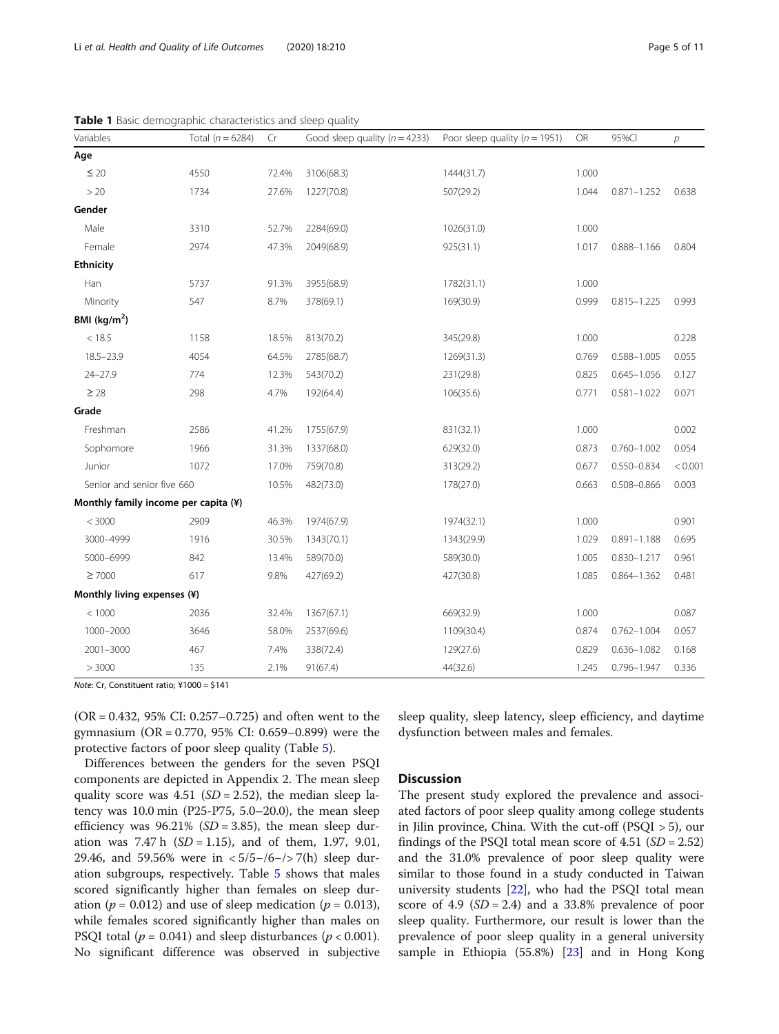| Variables                            | Total ( $n = 6284$ ) | Cr    | Good sleep quality ( $n = 4233$ ) | Poor sleep quality ( $n = 1951$ ) | OR    | 95%Cl           | р       |
|--------------------------------------|----------------------|-------|-----------------------------------|-----------------------------------|-------|-----------------|---------|
| Age                                  |                      |       |                                   |                                   |       |                 |         |
| $\leq 20$                            | 4550                 | 72.4% | 3106(68.3)                        | 1444(31.7)                        | 1.000 |                 |         |
| >20                                  | 1734                 | 27.6% | 1227(70.8)                        | 507(29.2)                         | 1.044 | $0.871 - 1.252$ | 0.638   |
| Gender                               |                      |       |                                   |                                   |       |                 |         |
| Male                                 | 3310                 | 52.7% | 2284(69.0)                        | 1026(31.0)                        | 1.000 |                 |         |
| Female                               | 2974                 | 47.3% | 2049(68.9)                        | 925(31.1)                         | 1.017 | $0.888 - 1.166$ | 0.804   |
| <b>Ethnicity</b>                     |                      |       |                                   |                                   |       |                 |         |
| Han                                  | 5737                 | 91.3% | 3955(68.9)                        | 1782(31.1)                        | 1.000 |                 |         |
| Minority                             | 547                  | 8.7%  | 378(69.1)                         | 169(30.9)                         | 0.999 | $0.815 - 1.225$ | 0.993   |
| BMI ( $\text{kg/m}^2$ )              |                      |       |                                   |                                   |       |                 |         |
| < 18.5                               | 1158                 | 18.5% | 813(70.2)                         | 345(29.8)                         | 1.000 |                 | 0.228   |
| $18.5 - 23.9$                        | 4054                 | 64.5% | 2785(68.7)                        | 1269(31.3)                        | 0.769 | $0.588 - 1.005$ | 0.055   |
| $24 - 27.9$                          | 774                  | 12.3% | 543(70.2)                         | 231(29.8)                         | 0.825 | $0.645 - 1.056$ | 0.127   |
| $\geq 28$                            | 298                  | 4.7%  | 192(64.4)                         | 106(35.6)                         | 0.771 | $0.581 - 1.022$ | 0.071   |
| Grade                                |                      |       |                                   |                                   |       |                 |         |
| Freshman                             | 2586                 | 41.2% | 1755(67.9)                        | 831(32.1)                         | 1.000 |                 | 0.002   |
| Sophomore                            | 1966                 | 31.3% | 1337(68.0)                        | 629(32.0)                         | 0.873 | $0.760 - 1.002$ | 0.054   |
| Junior                               | 1072                 | 17.0% | 759(70.8)                         | 313(29.2)                         | 0.677 | 0.550-0.834     | < 0.001 |
| Senior and senior five 660           |                      | 10.5% | 482(73.0)                         | 178(27.0)                         | 0.663 | $0.508 - 0.866$ | 0.003   |
| Monthly family income per capita (¥) |                      |       |                                   |                                   |       |                 |         |
| < 3000                               | 2909                 | 46.3% | 1974(67.9)                        | 1974(32.1)                        | 1.000 |                 | 0.901   |
| 3000-4999                            | 1916                 | 30.5% | 1343(70.1)                        | 1343(29.9)                        | 1.029 | $0.891 - 1.188$ | 0.695   |
| 5000-6999                            | 842                  | 13.4% | 589(70.0)                         | 589(30.0)                         | 1.005 | $0.830 - 1.217$ | 0.961   |
| $\geq 7000$                          | 617                  | 9.8%  | 427(69.2)                         | 427(30.8)                         | 1.085 | $0.864 - 1.362$ | 0.481   |
| Monthly living expenses (¥)          |                      |       |                                   |                                   |       |                 |         |
| < 1000                               | 2036                 | 32.4% | 1367(67.1)                        | 669(32.9)                         | 1.000 |                 | 0.087   |
| 1000-2000                            | 3646                 | 58.0% | 2537(69.6)                        | 1109(30.4)                        | 0.874 | $0.762 - 1.004$ | 0.057   |
| $2001 - 3000$                        | 467                  | 7.4%  | 338(72.4)                         | 129(27.6)                         | 0.829 | $0.636 - 1.082$ | 0.168   |
| > 3000                               | 135                  | 2.1%  | 91(67.4)                          | 44(32.6)                          | 1.245 | $0.796 - 1.947$ | 0.336   |

<span id="page-4-0"></span>Table 1 Basic demographic characteristics and sleep quality

Note: Cr, Constituent ratio; ¥1000 = \$141

(OR = 0.432, 95% CI: 0.257–0.725) and often went to the gymnasium (OR = 0.770, 95% CI: 0.659–0.899) were the protective factors of poor sleep quality (Table [5](#page-8-0)).

Differences between the genders for the seven PSQI components are depicted in Appendix 2. The mean sleep quality score was 4.51 ( $SD = 2.52$ ), the median sleep latency was 10.0 min (P25-P75, 5.0–20.0), the mean sleep efficiency was  $96.21\%$  (*SD* = 3.85), the mean sleep duration was  $7.47 \text{ h}$  (SD = 1.15), and of them, 1.97, 9.01, 29.46, and 59.56% were in < 5/5−/6−/> 7(h) sleep duration subgroups, respectively. Table [5](#page-8-0) shows that males scored significantly higher than females on sleep duration ( $p = 0.012$ ) and use of sleep medication ( $p = 0.013$ ), while females scored significantly higher than males on PSQI total ( $p = 0.041$ ) and sleep disturbances ( $p < 0.001$ ). No significant difference was observed in subjective sleep quality, sleep latency, sleep efficiency, and daytime dysfunction between males and females.

# **Discussion**

The present study explored the prevalence and associated factors of poor sleep quality among college students in Jilin province, China. With the cut-off (PSQI > 5), our findings of the PSQI total mean score of  $4.51$  (*SD* = 2.52) and the 31.0% prevalence of poor sleep quality were similar to those found in a study conducted in Taiwan university students [\[22](#page-10-0)], who had the PSQI total mean score of 4.9 ( $SD = 2.4$ ) and a 33.8% prevalence of poor sleep quality. Furthermore, our result is lower than the prevalence of poor sleep quality in a general university sample in Ethiopia (55.8%) [\[23\]](#page-10-0) and in Hong Kong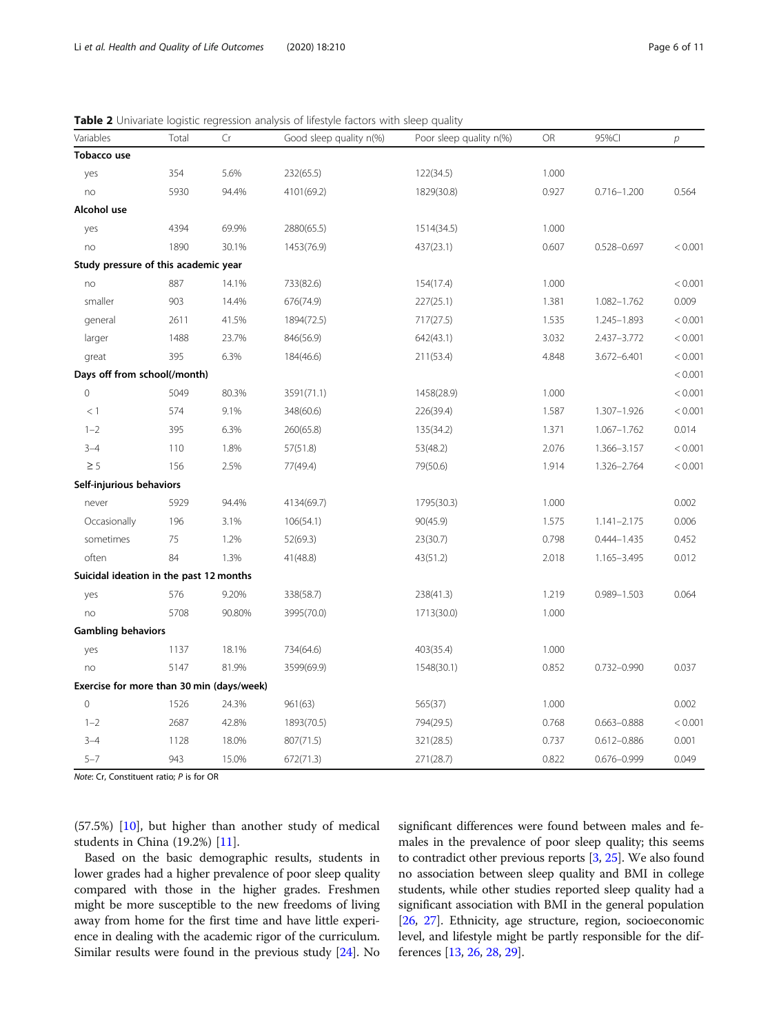| Variables                                 | Total | Cr     | Good sleep quality n(%) | Poor sleep quality n(%) | OR    | 95%CI           | $\overline{p}$ |
|-------------------------------------------|-------|--------|-------------------------|-------------------------|-------|-----------------|----------------|
| Tobacco use                               |       |        |                         |                         |       |                 |                |
| yes                                       | 354   | 5.6%   | 232(65.5)               | 122(34.5)               | 1.000 |                 |                |
| no                                        | 5930  | 94.4%  | 4101(69.2)              | 1829(30.8)              | 0.927 | $0.716 - 1.200$ | 0.564          |
| Alcohol use                               |       |        |                         |                         |       |                 |                |
| yes                                       | 4394  | 69.9%  | 2880(65.5)              | 1514(34.5)              | 1.000 |                 |                |
| no                                        | 1890  | 30.1%  | 1453(76.9)              | 437(23.1)               | 0.607 | 0.528-0.697     | < 0.001        |
| Study pressure of this academic year      |       |        |                         |                         |       |                 |                |
| no                                        | 887   | 14.1%  | 733(82.6)               | 154(17.4)               | 1.000 |                 | < 0.001        |
| smaller                                   | 903   | 14.4%  | 676(74.9)               | 227(25.1)               | 1.381 | 1.082-1.762     | 0.009          |
| general                                   | 2611  | 41.5%  | 1894(72.5)              | 717(27.5)               | 1.535 | 1.245-1.893     | < 0.001        |
| larger                                    | 1488  | 23.7%  | 846(56.9)               | 642(43.1)               | 3.032 | 2.437-3.772     | < 0.001        |
| great                                     | 395   | 6.3%   | 184(46.6)               | 211(53.4)               | 4.848 | 3.672-6.401     | < 0.001        |
| Days off from school(/month)              |       |        |                         |                         |       |                 | < 0.001        |
| $\mathsf{O}\xspace$                       | 5049  | 80.3%  | 3591(71.1)              | 1458(28.9)              | 1.000 |                 | < 0.001        |
| < 1                                       | 574   | 9.1%   | 348(60.6)               | 226(39.4)               | 1.587 | 1.307-1.926     | < 0.001        |
| $1 - 2$                                   | 395   | 6.3%   | 260(65.8)               | 135(34.2)               | 1.371 | 1.067-1.762     | 0.014          |
| $3 - 4$                                   | 110   | 1.8%   | 57(51.8)                | 53(48.2)                | 2.076 | 1.366-3.157     | < 0.001        |
| $\geq$ 5                                  | 156   | 2.5%   | 77(49.4)                | 79(50.6)                | 1.914 | 1.326-2.764     | < 0.001        |
| Self-injurious behaviors                  |       |        |                         |                         |       |                 |                |
| never                                     | 5929  | 94.4%  | 4134(69.7)              | 1795(30.3)              | 1.000 |                 | 0.002          |
| Occasionally                              | 196   | 3.1%   | 106(54.1)               | 90(45.9)                | 1.575 | $1.141 - 2.175$ | 0.006          |
| sometimes                                 | 75    | 1.2%   | 52(69.3)                | 23(30.7)                | 0.798 | $0.444 - 1.435$ | 0.452          |
| often                                     | 84    | 1.3%   | 41(48.8)                | 43(51.2)                | 2.018 | 1.165-3.495     | 0.012          |
| Suicidal ideation in the past 12 months   |       |        |                         |                         |       |                 |                |
| yes                                       | 576   | 9.20%  | 338(58.7)               | 238(41.3)               | 1.219 | 0.989-1.503     | 0.064          |
| no                                        | 5708  | 90.80% | 3995(70.0)              | 1713(30.0)              | 1.000 |                 |                |
| <b>Gambling behaviors</b>                 |       |        |                         |                         |       |                 |                |
| yes                                       | 1137  | 18.1%  | 734(64.6)               | 403(35.4)               | 1.000 |                 |                |
| no                                        | 5147  | 81.9%  | 3599(69.9)              | 1548(30.1)              | 0.852 | 0.732-0.990     | 0.037          |
| Exercise for more than 30 min (days/week) |       |        |                         |                         |       |                 |                |
| $\circ$                                   | 1526  | 24.3%  | 961(63)                 | 565(37)                 | 1.000 |                 | 0.002          |
| $1 - 2$                                   | 2687  | 42.8%  | 1893(70.5)              | 794(29.5)               | 0.768 | $0.663 - 0.888$ | < 0.001        |
| $3 - 4$                                   | 1128  | 18.0%  | 807(71.5)               | 321(28.5)               | 0.737 | 0.612-0.886     | 0.001          |
| $5 - 7$                                   | 943   | 15.0%  | 672(71.3)               | 271(28.7)               | 0.822 | 0.676-0.999     | 0.049          |

<span id="page-5-0"></span>Table 2 Univariate logistic regression analysis of lifestyle factors with sleep quality

Note: Cr, Constituent ratio; P is for OR

(57.5%) [\[10](#page-10-0)], but higher than another study of medical students in China (19.2%) [\[11](#page-10-0)].

Based on the basic demographic results, students in lower grades had a higher prevalence of poor sleep quality compared with those in the higher grades. Freshmen might be more susceptible to the new freedoms of living away from home for the first time and have little experience in dealing with the academic rigor of the curriculum. Similar results were found in the previous study [[24](#page-10-0)]. No

significant differences were found between males and females in the prevalence of poor sleep quality; this seems to contradict other previous reports [\[3](#page-10-0), [25](#page-10-0)]. We also found no association between sleep quality and BMI in college students, while other studies reported sleep quality had a significant association with BMI in the general population [[26](#page-10-0), [27\]](#page-10-0). Ethnicity, age structure, region, socioeconomic level, and lifestyle might be partly responsible for the differences [\[13,](#page-10-0) [26](#page-10-0), [28](#page-10-0), [29\]](#page-10-0).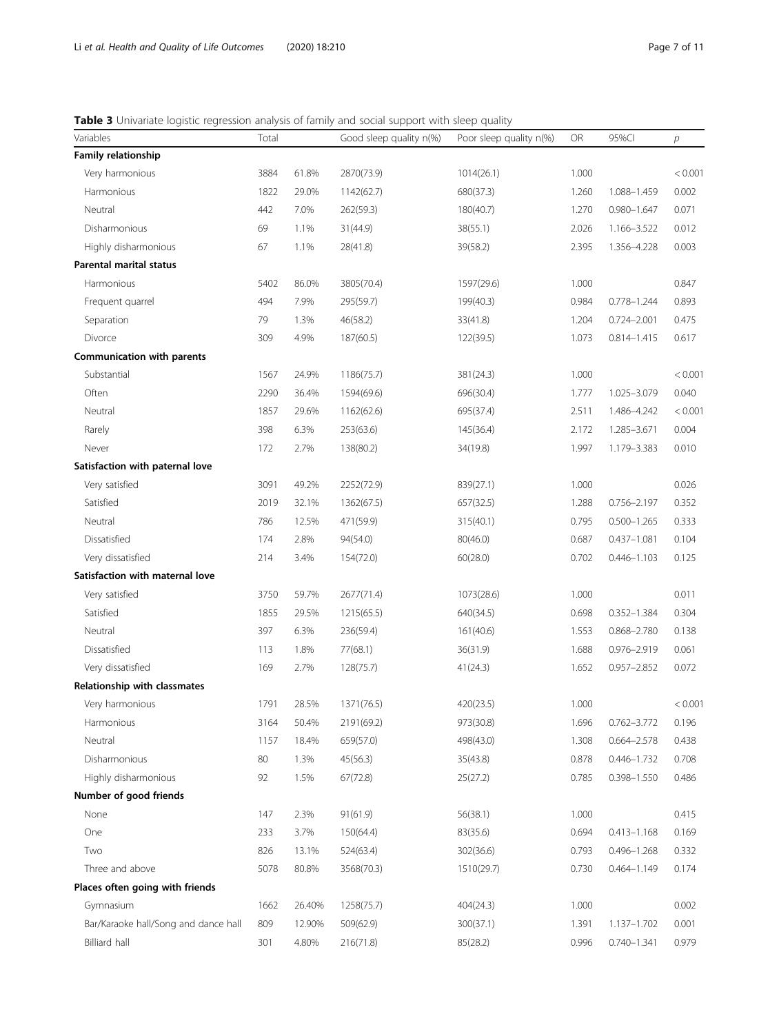# <span id="page-6-0"></span>Table 3 Univariate logistic regression analysis of family and social support with sleep quality

| Variables                            | Total |        | Good sleep quality n(%) | Poor sleep quality n(%) | OR    | 95%Cl           | $\overline{p}$ |
|--------------------------------------|-------|--------|-------------------------|-------------------------|-------|-----------------|----------------|
| Family relationship                  |       |        |                         |                         |       |                 |                |
| Very harmonious                      | 3884  | 61.8%  | 2870(73.9)              | 1014(26.1)              | 1.000 |                 | < 0.001        |
| Harmonious                           | 1822  | 29.0%  | 1142(62.7)              | 680(37.3)               | 1.260 | 1.088-1.459     | 0.002          |
| Neutral                              | 442   | 7.0%   | 262(59.3)               | 180(40.7)               | 1.270 | $0.980 - 1.647$ | 0.071          |
| Disharmonious                        | 69    | 1.1%   | 31(44.9)                | 38(55.1)                | 2.026 | 1.166-3.522     | 0.012          |
| Highly disharmonious                 | 67    | 1.1%   | 28(41.8)                | 39(58.2)                | 2.395 | 1.356-4.228     | 0.003          |
| <b>Parental marital status</b>       |       |        |                         |                         |       |                 |                |
| Harmonious                           | 5402  | 86.0%  | 3805(70.4)              | 1597(29.6)              | 1.000 |                 | 0.847          |
| Frequent quarrel                     | 494   | 7.9%   | 295(59.7)               | 199(40.3)               | 0.984 | 0.778-1.244     | 0.893          |
| Separation                           | 79    | 1.3%   | 46(58.2)                | 33(41.8)                | 1.204 | $0.724 - 2.001$ | 0.475          |
| Divorce                              | 309   | 4.9%   | 187(60.5)               | 122(39.5)               | 1.073 | $0.814 - 1.415$ | 0.617          |
| Communication with parents           |       |        |                         |                         |       |                 |                |
| Substantial                          | 1567  | 24.9%  | 1186(75.7)              | 381(24.3)               | 1.000 |                 | < 0.001        |
| Often                                | 2290  | 36.4%  | 1594(69.6)              | 696(30.4)               | 1.777 | 1.025-3.079     | 0.040          |
| Neutral                              | 1857  | 29.6%  | 1162(62.6)              | 695(37.4)               | 2.511 | 1.486-4.242     | < 0.001        |
| Rarely                               | 398   | 6.3%   | 253(63.6)               | 145(36.4)               | 2.172 | 1.285-3.671     | 0.004          |
| Never                                | 172   | 2.7%   | 138(80.2)               | 34(19.8)                | 1.997 | 1.179-3.383     | 0.010          |
| Satisfaction with paternal love      |       |        |                         |                         |       |                 |                |
| Very satisfied                       | 3091  | 49.2%  | 2252(72.9)              | 839(27.1)               | 1.000 |                 | 0.026          |
| Satisfied                            | 2019  | 32.1%  | 1362(67.5)              | 657(32.5)               | 1.288 | 0.756-2.197     | 0.352          |
| Neutral                              | 786   | 12.5%  | 471(59.9)               | 315(40.1)               | 0.795 | $0.500 - 1.265$ | 0.333          |
| Dissatisfied                         | 174   | 2.8%   | 94(54.0)                | 80(46.0)                | 0.687 | $0.437 - 1.081$ | 0.104          |
| Very dissatisfied                    | 214   | 3.4%   | 154(72.0)               | 60(28.0)                | 0.702 | $0.446 - 1.103$ | 0.125          |
| Satisfaction with maternal love      |       |        |                         |                         |       |                 |                |
| Very satisfied                       | 3750  | 59.7%  | 2677(71.4)              | 1073(28.6)              | 1.000 |                 | 0.011          |
| Satisfied                            | 1855  | 29.5%  | 1215(65.5)              | 640(34.5)               | 0.698 | 0.352-1.384     | 0.304          |
| Neutral                              | 397   | 6.3%   | 236(59.4)               | 161(40.6)               | 1.553 | 0.868-2.780     | 0.138          |
| Dissatisfied                         | 113   | 1.8%   | 77(68.1)                | 36(31.9)                | 1.688 | 0.976-2.919     | 0.061          |
| Very dissatisfied                    | 169   | 2.7%   | 128(75.7)               | 41(24.3)                | 1.652 | 0.957-2.852     | 0.072          |
| Relationship with classmates         |       |        |                         |                         |       |                 |                |
| Very harmonious                      | 1791  | 28.5%  | 1371(76.5)              | 420(23.5)               | 1.000 |                 | < 0.001        |
| Harmonious                           | 3164  | 50.4%  | 2191(69.2)              | 973(30.8)               | 1.696 | $0.762 - 3.772$ | 0.196          |
| Neutral                              | 1157  | 18.4%  | 659(57.0)               | 498(43.0)               | 1.308 | $0.664 - 2.578$ | 0.438          |
| Disharmonious                        | 80    | 1.3%   | 45(56.3)                | 35(43.8)                | 0.878 | $0.446 - 1.732$ | 0.708          |
| Highly disharmonious                 | 92    | 1.5%   | 67(72.8)                | 25(27.2)                | 0.785 | 0.398-1.550     | 0.486          |
| Number of good friends               |       |        |                         |                         |       |                 |                |
| None                                 | 147   | 2.3%   | 91(61.9)                | 56(38.1)                | 1.000 |                 | 0.415          |
| One                                  | 233   | 3.7%   | 150(64.4)               | 83(35.6)                | 0.694 | $0.413 - 1.168$ | 0.169          |
| Two                                  | 826   | 13.1%  | 524(63.4)               | 302(36.6)               | 0.793 | $0.496 - 1.268$ | 0.332          |
| Three and above                      | 5078  | 80.8%  | 3568(70.3)              | 1510(29.7)              | 0.730 | $0.464 - 1.149$ | 0.174          |
| Places often going with friends      |       |        |                         |                         |       |                 |                |
| Gymnasium                            | 1662  | 26.40% | 1258(75.7)              | 404(24.3)               | 1.000 |                 | 0.002          |
| Bar/Karaoke hall/Song and dance hall | 809   | 12.90% | 509(62.9)               | 300(37.1)               | 1.391 | 1.137-1.702     | 0.001          |
| <b>Billiard hall</b>                 | 301   | 4.80%  | 216(71.8)               | 85(28.2)                | 0.996 | $0.740 - 1.341$ | 0.979          |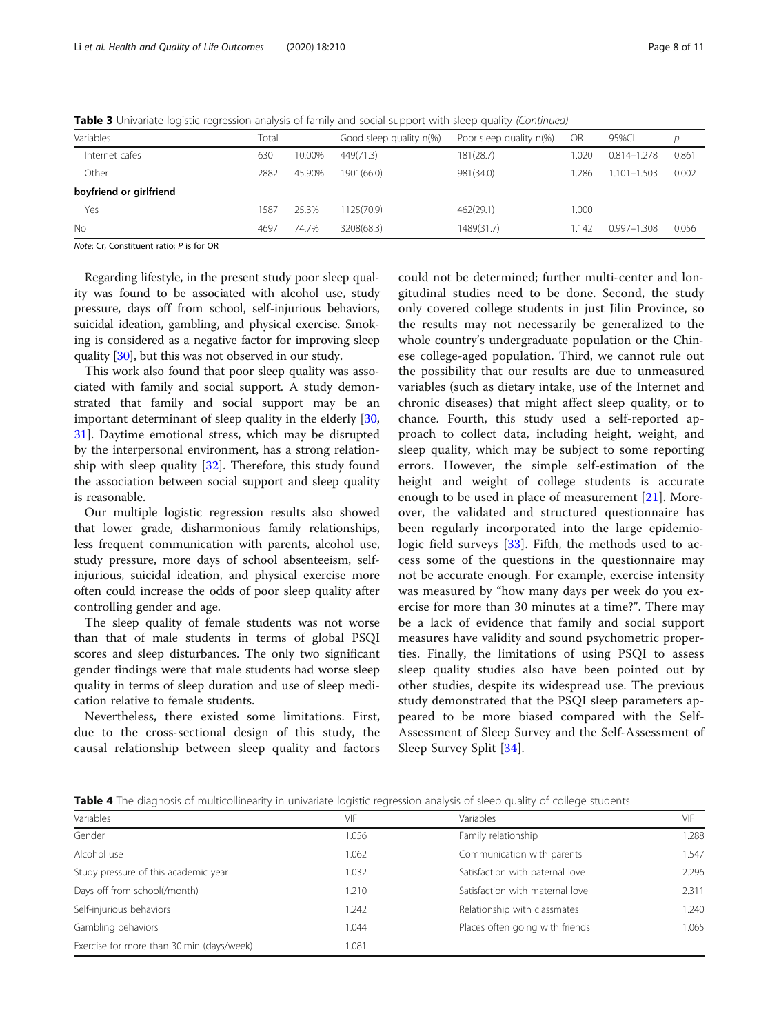<span id="page-7-0"></span>Table 3 Univariate logistic regression analysis of family and social support with sleep quality (Continued)

|                         | $\tilde{\phantom{a}}$ |       |        |                         |                         |           |                 |       |
|-------------------------|-----------------------|-------|--------|-------------------------|-------------------------|-----------|-----------------|-------|
| Variables               |                       | Total |        | Good sleep quality n(%) | Poor sleep quality n(%) | <b>OR</b> | 95%CI           | D     |
| Internet cafes          |                       | 630   | 10.00% | 449(71.3)               | 181(28.7)               | 1.020     | 0.814-1.278     | 0.861 |
| Other                   |                       | 2882  | 45.90% | 1901(66.0)              | 981(34.0)               | .286      | $1.101 - 1.503$ | 0.002 |
| boyfriend or girlfriend |                       |       |        |                         |                         |           |                 |       |
| Yes                     |                       | 1587  | 25.3%  | 1125(70.9)              | 462(29.1)               | 1.000     |                 |       |
| No                      |                       | 4697  | 74.7%  | 3208(68.3)              | 1489(31.7)              | 1.142     | $0.997 - 1.308$ | 0.056 |

Note: Cr, Constituent ratio; P is for OR

Regarding lifestyle, in the present study poor sleep quality was found to be associated with alcohol use, study pressure, days off from school, self-injurious behaviors, suicidal ideation, gambling, and physical exercise. Smoking is considered as a negative factor for improving sleep quality [\[30](#page-10-0)], but this was not observed in our study.

This work also found that poor sleep quality was associated with family and social support. A study demonstrated that family and social support may be an important determinant of sleep quality in the elderly [[30](#page-10-0), [31\]](#page-10-0). Daytime emotional stress, which may be disrupted by the interpersonal environment, has a strong relationship with sleep quality [\[32](#page-10-0)]. Therefore, this study found the association between social support and sleep quality is reasonable.

Our multiple logistic regression results also showed that lower grade, disharmonious family relationships, less frequent communication with parents, alcohol use, study pressure, more days of school absenteeism, selfinjurious, suicidal ideation, and physical exercise more often could increase the odds of poor sleep quality after controlling gender and age.

The sleep quality of female students was not worse than that of male students in terms of global PSQI scores and sleep disturbances. The only two significant gender findings were that male students had worse sleep quality in terms of sleep duration and use of sleep medication relative to female students.

Nevertheless, there existed some limitations. First, due to the cross-sectional design of this study, the causal relationship between sleep quality and factors could not be determined; further multi-center and longitudinal studies need to be done. Second, the study only covered college students in just Jilin Province, so the results may not necessarily be generalized to the whole country's undergraduate population or the Chinese college-aged population. Third, we cannot rule out the possibility that our results are due to unmeasured variables (such as dietary intake, use of the Internet and chronic diseases) that might affect sleep quality, or to chance. Fourth, this study used a self-reported approach to collect data, including height, weight, and sleep quality, which may be subject to some reporting errors. However, the simple self-estimation of the height and weight of college students is accurate enough to be used in place of measurement [[21\]](#page-10-0). Moreover, the validated and structured questionnaire has been regularly incorporated into the large epidemio-logic field surveys [\[33](#page-10-0)]. Fifth, the methods used to access some of the questions in the questionnaire may not be accurate enough. For example, exercise intensity was measured by "how many days per week do you exercise for more than 30 minutes at a time?". There may be a lack of evidence that family and social support measures have validity and sound psychometric properties. Finally, the limitations of using PSQI to assess sleep quality studies also have been pointed out by other studies, despite its widespread use. The previous study demonstrated that the PSQI sleep parameters appeared to be more biased compared with the Self-Assessment of Sleep Survey and the Self-Assessment of Sleep Survey Split [[34\]](#page-10-0).

Table 4 The diagnosis of multicollinearity in univariate logistic regression analysis of sleep quality of college students

| Variables                                 | VIF   | Variables                       | VIF   |
|-------------------------------------------|-------|---------------------------------|-------|
| Gender                                    | 1.056 | Family relationship             | 1.288 |
| Alcohol use                               | .062  | Communication with parents      | 1.547 |
| Study pressure of this academic year      | .032  | Satisfaction with paternal love | 2.296 |
| Days off from school(/month)              | .210  | Satisfaction with maternal love | 2.311 |
| Self-injurious behaviors                  | .242  | Relationship with classmates    | 1.240 |
| Gambling behaviors                        | 1.044 | Places often going with friends | 1.065 |
| Exercise for more than 30 min (days/week) | .081  |                                 |       |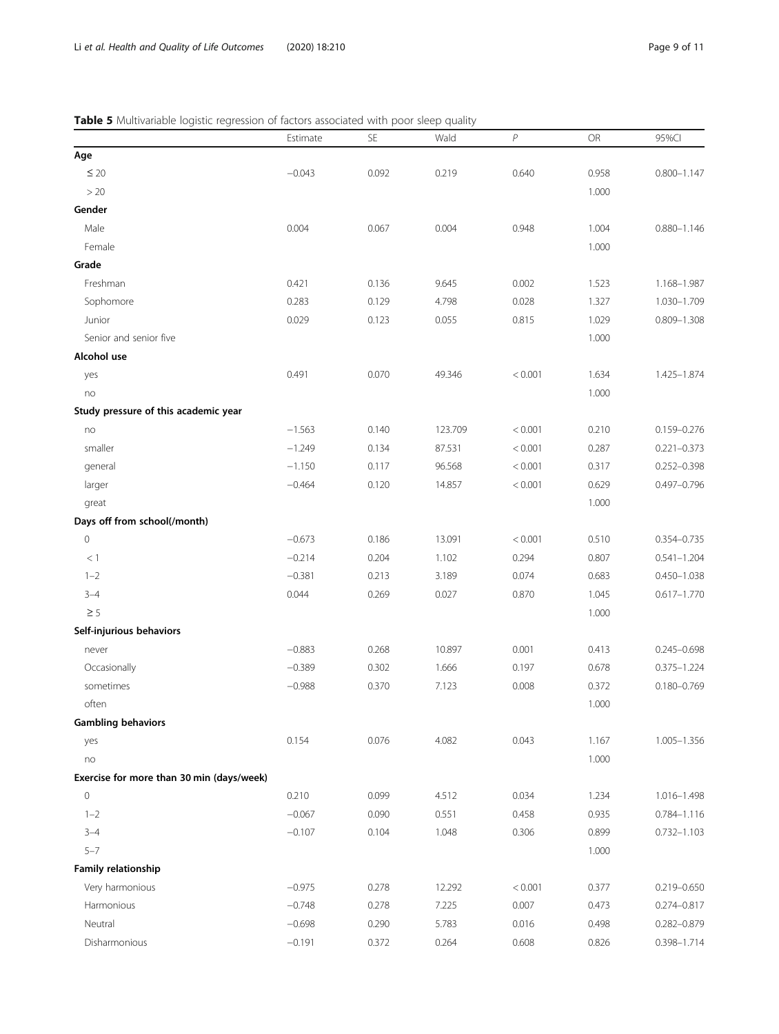# <span id="page-8-0"></span>Table 5 Multivariable logistic regression of factors associated with poor sleep quality

|                                           | Estimate | <b>SE</b> | Wald    | P       | <b>OR</b> | 95%Cl           |
|-------------------------------------------|----------|-----------|---------|---------|-----------|-----------------|
| Age                                       |          |           |         |         |           |                 |
| $\leq 20$                                 | $-0.043$ | 0.092     | 0.219   | 0.640   | 0.958     | $0.800 - 1.147$ |
| >20                                       |          |           |         |         | 1.000     |                 |
| Gender                                    |          |           |         |         |           |                 |
| Male                                      | 0.004    | 0.067     | 0.004   | 0.948   | 1.004     | $0.880 - 1.146$ |
| Female                                    |          |           |         |         | 1.000     |                 |
| Grade                                     |          |           |         |         |           |                 |
| Freshman                                  | 0.421    | 0.136     | 9.645   | 0.002   | 1.523     | 1.168-1.987     |
| Sophomore                                 | 0.283    | 0.129     | 4.798   | 0.028   | 1.327     | 1.030-1.709     |
| Junior                                    | 0.029    | 0.123     | 0.055   | 0.815   | 1.029     | $0.809 - 1.308$ |
| Senior and senior five                    |          |           |         |         | 1.000     |                 |
| Alcohol use                               |          |           |         |         |           |                 |
| yes                                       | 0.491    | 0.070     | 49.346  | < 0.001 | 1.634     | 1.425-1.874     |
| no                                        |          |           |         |         | 1.000     |                 |
| Study pressure of this academic year      |          |           |         |         |           |                 |
| no                                        | $-1.563$ | 0.140     | 123.709 | < 0.001 | 0.210     | 0.159-0.276     |
| smaller                                   | $-1.249$ | 0.134     | 87.531  | < 0.001 | 0.287     | $0.221 - 0.373$ |
| general                                   | $-1.150$ | 0.117     | 96.568  | < 0.001 | 0.317     | $0.252 - 0.398$ |
| larger                                    | $-0.464$ | 0.120     | 14.857  | < 0.001 | 0.629     | 0.497-0.796     |
| great                                     |          |           |         |         | 1.000     |                 |
| Days off from school(/month)              |          |           |         |         |           |                 |
| $\mathbf 0$                               | $-0.673$ | 0.186     | 13.091  | < 0.001 | 0.510     | 0.354-0.735     |
| <1                                        | $-0.214$ | 0.204     | 1.102   | 0.294   | 0.807     | $0.541 - 1.204$ |
| $1 - 2$                                   | $-0.381$ | 0.213     | 3.189   | 0.074   | 0.683     | $0.450 - 1.038$ |
| $3 - 4$                                   | 0.044    | 0.269     | 0.027   | 0.870   | 1.045     | $0.617 - 1.770$ |
| $\geq$ 5                                  |          |           |         |         | 1.000     |                 |
| Self-injurious behaviors                  |          |           |         |         |           |                 |
| never                                     | $-0.883$ | 0.268     | 10.897  | 0.001   | 0.413     | $0.245 - 0.698$ |
| Occasionally                              | $-0.389$ | 0.302     | 1.666   | 0.197   | 0.678     | $0.375 - 1.224$ |
| sometimes                                 | $-0.988$ | 0.370     | 7.123   | 0.008   | 0.372     | $0.180 - 0.769$ |
| often                                     |          |           |         |         | 1.000     |                 |
| <b>Gambling behaviors</b>                 |          |           |         |         |           |                 |
| yes                                       | 0.154    | 0.076     | 4.082   | 0.043   | 1.167     | 1.005-1.356     |
| no                                        |          |           |         |         | 1.000     |                 |
| Exercise for more than 30 min (days/week) |          |           |         |         |           |                 |
| 0                                         | 0.210    | 0.099     | 4.512   | 0.034   | 1.234     | 1.016-1.498     |
| $1 - 2$                                   | $-0.067$ | 0.090     | 0.551   | 0.458   | 0.935     | $0.784 - 1.116$ |
| $3 - 4$                                   | $-0.107$ | 0.104     | 1.048   | 0.306   | 0.899     | $0.732 - 1.103$ |
| $5 - 7$                                   |          |           |         |         | 1.000     |                 |
| Family relationship                       |          |           |         |         |           |                 |
| Very harmonious                           | $-0.975$ | 0.278     | 12.292  | < 0.001 | 0.377     | 0.219-0.650     |
| Harmonious                                | $-0.748$ | 0.278     | 7.225   | 0.007   | 0.473     | 0.274-0.817     |
| Neutral                                   | $-0.698$ | 0.290     | 5.783   | 0.016   | 0.498     | 0.282-0.879     |
| Disharmonious                             | $-0.191$ | 0.372     | 0.264   | 0.608   | 0.826     | 0.398-1.714     |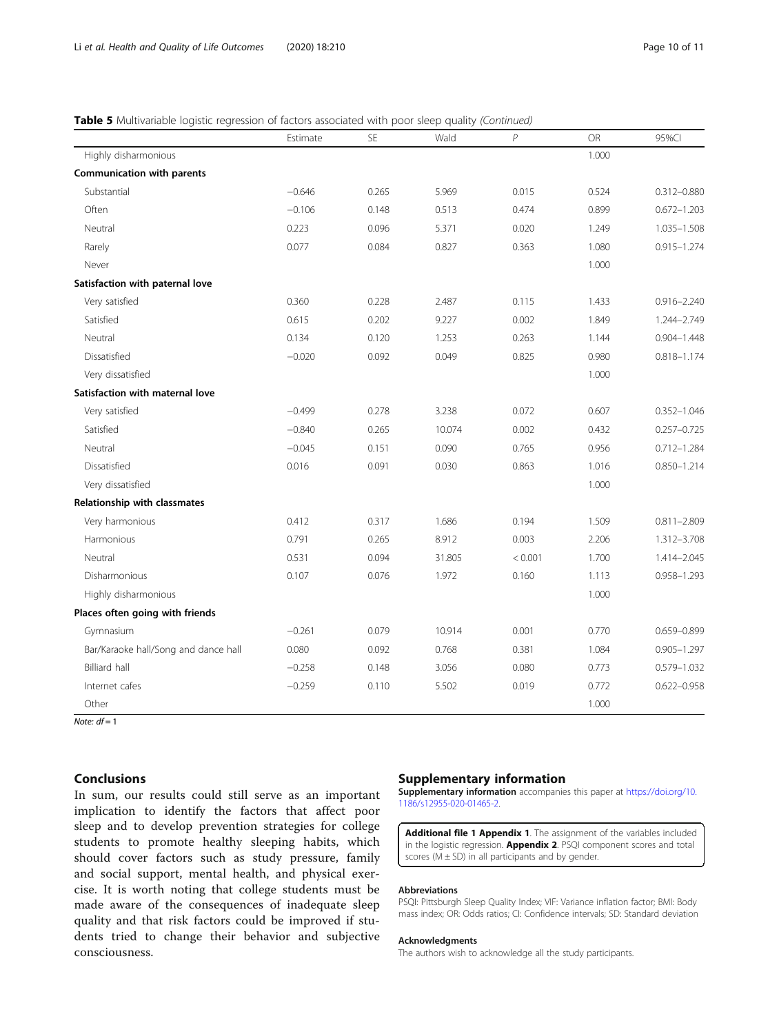# **Table 5** Multivariable logistic regression of factors associated with poor sleep quality (Continued)

|                                      | Estimate | <b>SE</b> | Wald   | $\,P$   | <b>OR</b> | 95%Cl           |
|--------------------------------------|----------|-----------|--------|---------|-----------|-----------------|
| Highly disharmonious                 |          |           |        |         | 1.000     |                 |
| Communication with parents           |          |           |        |         |           |                 |
| Substantial                          | $-0.646$ | 0.265     | 5.969  | 0.015   | 0.524     | $0.312 - 0.880$ |
| Often                                | $-0.106$ | 0.148     | 0.513  | 0.474   | 0.899     | $0.672 - 1.203$ |
| Neutral                              | 0.223    | 0.096     | 5.371  | 0.020   | 1.249     | $1.035 - 1.508$ |
| Rarely                               | 0.077    | 0.084     | 0.827  | 0.363   | 1.080     | $0.915 - 1.274$ |
| Never                                |          |           |        |         | 1.000     |                 |
| Satisfaction with paternal love      |          |           |        |         |           |                 |
| Very satisfied                       | 0.360    | 0.228     | 2.487  | 0.115   | 1.433     | $0.916 - 2.240$ |
| Satisfied                            | 0.615    | 0.202     | 9.227  | 0.002   | 1.849     | 1.244-2.749     |
| Neutral                              | 0.134    | 0.120     | 1.253  | 0.263   | 1.144     | $0.904 - 1.448$ |
| Dissatisfied                         | $-0.020$ | 0.092     | 0.049  | 0.825   | 0.980     | $0.818 - 1.174$ |
| Very dissatisfied                    |          |           |        |         | 1.000     |                 |
| Satisfaction with maternal love      |          |           |        |         |           |                 |
| Very satisfied                       | $-0.499$ | 0.278     | 3.238  | 0.072   | 0.607     | $0.352 - 1.046$ |
| Satisfied                            | $-0.840$ | 0.265     | 10.074 | 0.002   | 0.432     | $0.257 - 0.725$ |
| Neutral                              | $-0.045$ | 0.151     | 0.090  | 0.765   | 0.956     | $0.712 - 1.284$ |
| Dissatisfied                         | 0.016    | 0.091     | 0.030  | 0.863   | 1.016     | $0.850 - 1.214$ |
| Very dissatisfied                    |          |           |        |         | 1.000     |                 |
| Relationship with classmates         |          |           |        |         |           |                 |
| Very harmonious                      | 0.412    | 0.317     | 1.686  | 0.194   | 1.509     | $0.811 - 2.809$ |
| Harmonious                           | 0.791    | 0.265     | 8.912  | 0.003   | 2.206     | 1.312-3.708     |
| Neutral                              | 0.531    | 0.094     | 31.805 | < 0.001 | 1.700     | 1.414-2.045     |
| Disharmonious                        | 0.107    | 0.076     | 1.972  | 0.160   | 1.113     | 0.958-1.293     |
| Highly disharmonious                 |          |           |        |         | 1.000     |                 |
| Places often going with friends      |          |           |        |         |           |                 |
| Gymnasium                            | $-0.261$ | 0.079     | 10.914 | 0.001   | 0.770     | 0.659-0.899     |
| Bar/Karaoke hall/Song and dance hall | 0.080    | 0.092     | 0.768  | 0.381   | 1.084     | $0.905 - 1.297$ |
| <b>Billiard hall</b>                 | $-0.258$ | 0.148     | 3.056  | 0.080   | 0.773     | 0.579-1.032     |
| Internet cafes                       | $-0.259$ | 0.110     | 5.502  | 0.019   | 0.772     | 0.622-0.958     |
| Other                                |          |           |        |         | 1.000     |                 |

Note:  $df = 1$ 

# Conclusions

In sum, our results could still serve as an important implication to identify the factors that affect poor sleep and to develop prevention strategies for college students to promote healthy sleeping habits, which should cover factors such as study pressure, family and social support, mental health, and physical exercise. It is worth noting that college students must be made aware of the consequences of inadequate sleep quality and that risk factors could be improved if students tried to change their behavior and subjective consciousness.

# Supplementary information

Supplementary information accompanies this paper at [https://doi.org/10.](https://doi.org/10.1186/s12955-020-01465-2) [1186/s12955-020-01465-2](https://doi.org/10.1186/s12955-020-01465-2).

Additional file 1 Appendix 1. The assignment of the variables included in the logistic regression. **Appendix 2.** PSQI component scores and total scores ( $M \pm SD$ ) in all participants and by gender.

# Abbreviations

PSQI: Pittsburgh Sleep Quality Index; VIF: Variance inflation factor; BMI: Body mass index; OR: Odds ratios; CI: Confidence intervals; SD: Standard deviation

# Acknowledgments

The authors wish to acknowledge all the study participants.